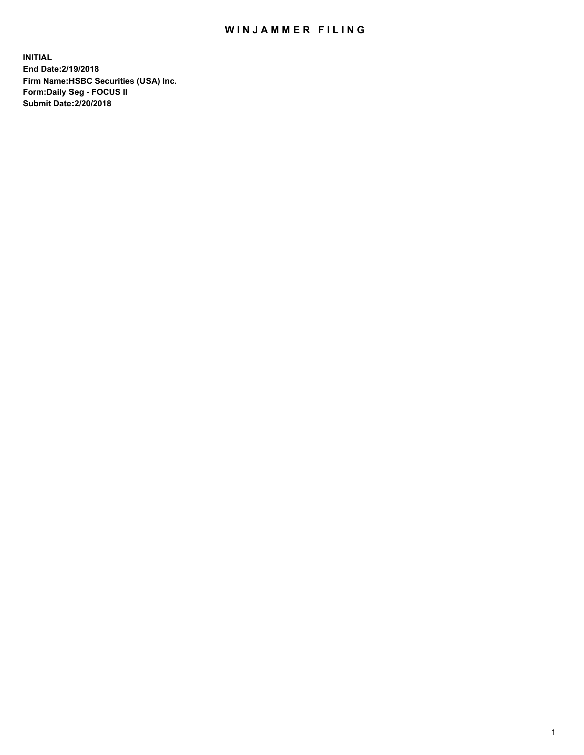## WIN JAMMER FILING

**INITIAL End Date:2/19/2018 Firm Name:HSBC Securities (USA) Inc. Form:Daily Seg - FOCUS II Submit Date:2/20/2018**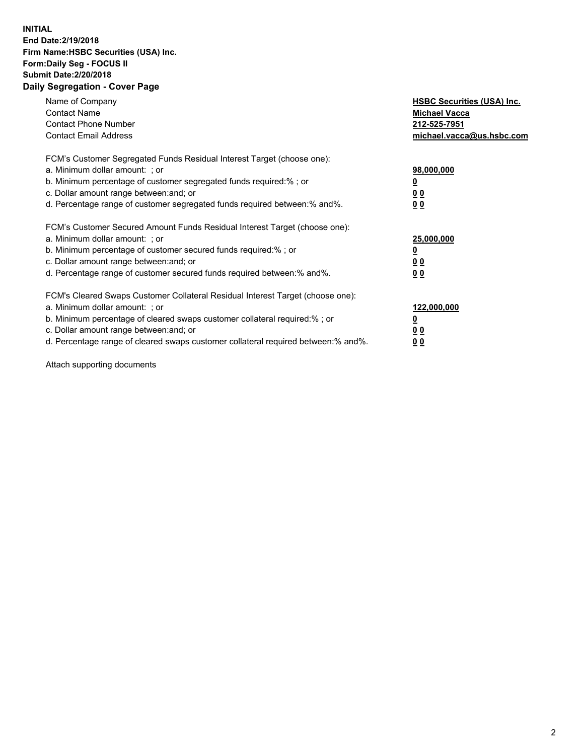## **INITIAL End Date:2/19/2018 Firm Name:HSBC Securities (USA) Inc. Form:Daily Seg - FOCUS II Submit Date:2/20/2018 Daily Segregation - Cover Page**

| Name of Company<br><b>Contact Name</b><br><b>Contact Phone Number</b><br><b>Contact Email Address</b>                                                                                                                                                                                                                         | <b>HSBC Securities (USA) Inc.</b><br><b>Michael Vacca</b><br>212-525-7951<br>michael.vacca@us.hsbc.com |
|-------------------------------------------------------------------------------------------------------------------------------------------------------------------------------------------------------------------------------------------------------------------------------------------------------------------------------|--------------------------------------------------------------------------------------------------------|
| FCM's Customer Segregated Funds Residual Interest Target (choose one):<br>a. Minimum dollar amount: ; or<br>b. Minimum percentage of customer segregated funds required:%; or<br>c. Dollar amount range between: and; or<br>d. Percentage range of customer segregated funds required between: % and %.                       | 98,000,000<br><u>0</u><br><u>00</u><br><u>00</u>                                                       |
| FCM's Customer Secured Amount Funds Residual Interest Target (choose one):<br>a. Minimum dollar amount: ; or<br>b. Minimum percentage of customer secured funds required:%; or<br>c. Dollar amount range between: and; or<br>d. Percentage range of customer secured funds required between: % and %.                         | 25,000,000<br><u>0</u><br><u>00</u><br>00                                                              |
| FCM's Cleared Swaps Customer Collateral Residual Interest Target (choose one):<br>a. Minimum dollar amount: ; or<br>b. Minimum percentage of cleared swaps customer collateral required:%; or<br>c. Dollar amount range between: and; or<br>d. Percentage range of cleared swaps customer collateral required between:% and%. | 122,000,000<br><u>0</u><br><u>00</u><br><u>00</u>                                                      |

Attach supporting documents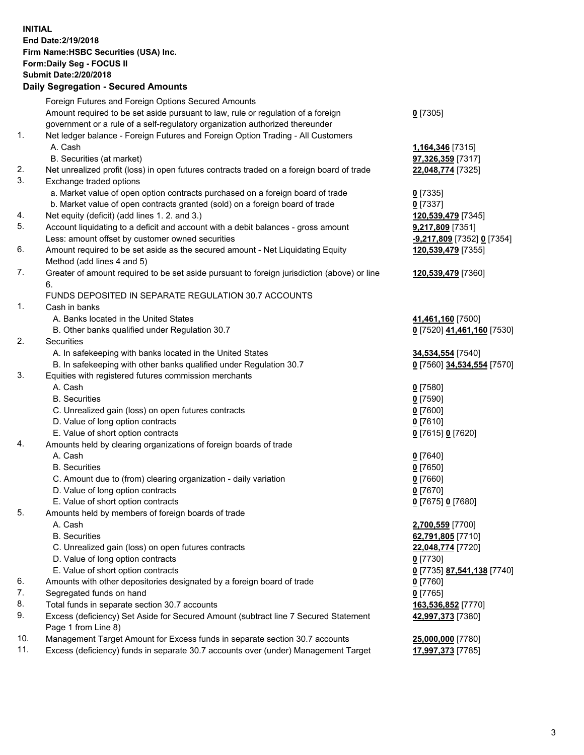**INITIAL End Date:2/19/2018 Firm Name:HSBC Securities (USA) Inc. Form:Daily Seg - FOCUS II Submit Date:2/20/2018 Daily Segregation - Secured Amounts**

Foreign Futures and Foreign Options Secured Amounts Amount required to be set aside pursuant to law, rule or regulation of a foreign government or a rule of a self-regulatory organization authorized thereunder **0** [7305] 1. Net ledger balance - Foreign Futures and Foreign Option Trading - All Customers A. Cash **1,164,346** [7315] B. Securities (at market) **97,326,359** [7317] 2. Net unrealized profit (loss) in open futures contracts traded on a foreign board of trade **22,048,774** [7325] 3. Exchange traded options a. Market value of open option contracts purchased on a foreign board of trade **0** [7335] b. Market value of open contracts granted (sold) on a foreign board of trade **0** [7337] 4. Net equity (deficit) (add lines 1. 2. and 3.) **120,539,479** [7345] 5. Account liquidating to a deficit and account with a debit balances - gross amount **9,217,809** [7351] Less: amount offset by customer owned securities **-9,217,809** [7352] **0** [7354] 6. Amount required to be set aside as the secured amount - Net Liquidating Equity Method (add lines 4 and 5) **120,539,479** [7355] 7. Greater of amount required to be set aside pursuant to foreign jurisdiction (above) or line 6. **120,539,479** [7360] FUNDS DEPOSITED IN SEPARATE REGULATION 30.7 ACCOUNTS 1. Cash in banks A. Banks located in the United States **41,461,160** [7500] B. Other banks qualified under Regulation 30.7 **0** [7520] **41,461,160** [7530] 2. Securities A. In safekeeping with banks located in the United States **34,534,554** [7540] B. In safekeeping with other banks qualified under Regulation 30.7 **0** [7560] **34,534,554** [7570] 3. Equities with registered futures commission merchants A. Cash **0** [7580] B. Securities **0** [7590] C. Unrealized gain (loss) on open futures contracts **0** [7600] D. Value of long option contracts **0** [7610] E. Value of short option contracts **0** [7615] **0** [7620] 4. Amounts held by clearing organizations of foreign boards of trade A. Cash **0** [7640] B. Securities **0** [7650] C. Amount due to (from) clearing organization - daily variation **0** [7660] D. Value of long option contracts **0** [7670] E. Value of short option contracts **0** [7675] **0** [7680] 5. Amounts held by members of foreign boards of trade A. Cash **2,700,559** [7700] B. Securities **62,791,805** [7710] C. Unrealized gain (loss) on open futures contracts **22,048,774** [7720] D. Value of long option contracts **0** [7730] E. Value of short option contracts **0** [7735] **87,541,138** [7740] 6. Amounts with other depositories designated by a foreign board of trade **0** [7760] 7. Segregated funds on hand **0** [7765] 8. Total funds in separate section 30.7 accounts **163,536,852** [7770] 9. Excess (deficiency) Set Aside for Secured Amount (subtract line 7 Secured Statement Page 1 from Line 8) **42,997,373** [7380] 10. Management Target Amount for Excess funds in separate section 30.7 accounts **25,000,000** [7780] 11. Excess (deficiency) funds in separate 30.7 accounts over (under) Management Target **17,997,373** [7785]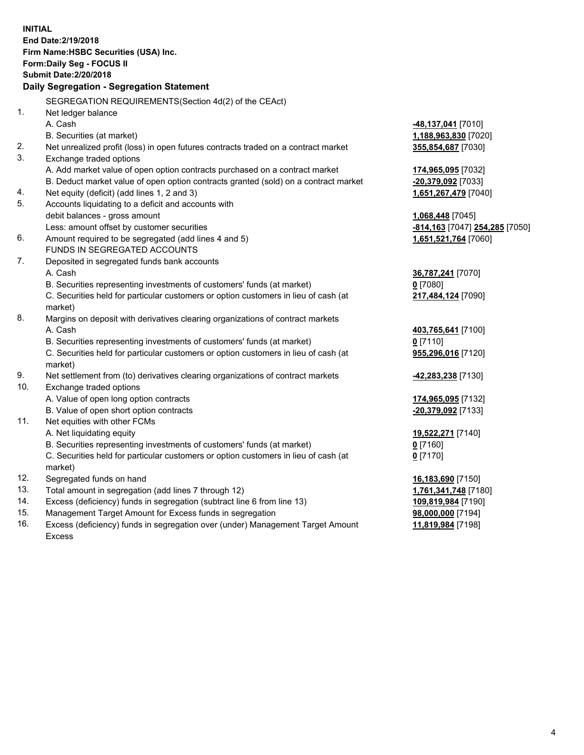**INITIAL End Date:2/19/2018 Firm Name:HSBC Securities (USA) Inc. Form:Daily Seg - FOCUS II Submit Date:2/20/2018 Daily Segregation - Segregation Statement** SEGREGATION REQUIREMENTS(Section 4d(2) of the CEAct) 1. Net ledger balance A. Cash **-48,137,041** [7010] B. Securities (at market) **1,188,963,830** [7020] 2. Net unrealized profit (loss) in open futures contracts traded on a contract market **355,854,687** [7030] 3. Exchange traded options A. Add market value of open option contracts purchased on a contract market **174,965,095** [7032] B. Deduct market value of open option contracts granted (sold) on a contract market **-20,379,092** [7033] 4. Net equity (deficit) (add lines 1, 2 and 3) **1,651,267,479** [7040] 5. Accounts liquidating to a deficit and accounts with debit balances - gross amount **1,068,448** [7045] Less: amount offset by customer securities **-814,163** [7047] **254,285** [7050] 6. Amount required to be segregated (add lines 4 and 5) **1,651,521,764** [7060] FUNDS IN SEGREGATED ACCOUNTS 7. Deposited in segregated funds bank accounts A. Cash **36,787,241** [7070] B. Securities representing investments of customers' funds (at market) **0** [7080] C. Securities held for particular customers or option customers in lieu of cash (at market) **217,484,124** [7090] 8. Margins on deposit with derivatives clearing organizations of contract markets A. Cash **403,765,641** [7100] B. Securities representing investments of customers' funds (at market) **0** [7110] C. Securities held for particular customers or option customers in lieu of cash (at market) **955,296,016** [7120] 9. Net settlement from (to) derivatives clearing organizations of contract markets **-42,283,238** [7130] 10. Exchange traded options A. Value of open long option contracts **174,965,095** [7132] B. Value of open short option contracts **-20,379,092** [7133] 11. Net equities with other FCMs A. Net liquidating equity **19,522,271** [7140] B. Securities representing investments of customers' funds (at market) **0** [7160] C. Securities held for particular customers or option customers in lieu of cash (at market) **0** [7170] 12. Segregated funds on hand **16,183,690** [7150] 13. Total amount in segregation (add lines 7 through 12) **1,761,341,748** [7180] 14. Excess (deficiency) funds in segregation (subtract line 6 from line 13) **109,819,984** [7190] 15. Management Target Amount for Excess funds in segregation **98,000,000** [7194]

16. Excess (deficiency) funds in segregation over (under) Management Target Amount Excess

**11,819,984** [7198]